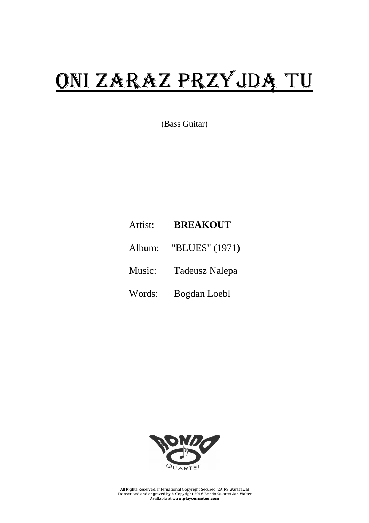## ONI ZARAZ PRZYJDĄ TU

(Bass Guitar)

## Artist: **BREAKOUT**

- Album: "BLUES" (1971)
- Music: Tadeusz Nalepa
- Words: Bogdan Loebl



All Rights Reserved. International Copyright Secured (ZAiKS Warszawa) Transcribed and engraved by © Copyright 2016 Rondo-Quartet-Jan Walter Available at **www.playournotes.com**